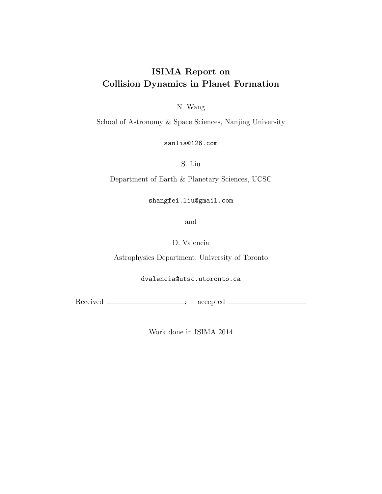# ISIMA Report on Collision Dynamics in Planet Formation

N. Wang

School of Astronomy & Space Sciences, Nanjing University

sanlia@126.com

S. Liu

Department of Earth & Planetary Sciences, UCSC

shangfei.liu@gmail.com

and

D. Valencia

Astrophysics Department, University of Toronto

dvalencia@utsc.utoronto.ca

Received \_\_\_\_\_\_\_\_\_\_\_\_\_\_\_\_; accepted \_\_\_\_\_\_\_\_\_\_\_\_\_\_\_\_;

Work done in ISIMA 2014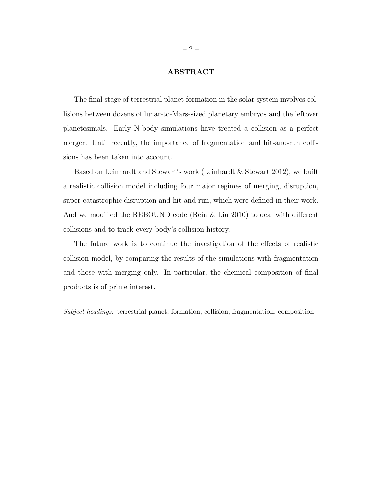## ABSTRACT

The final stage of terrestrial planet formation in the solar system involves collisions between dozens of lunar-to-Mars-sized planetary embryos and the leftover planetesimals. Early N-body simulations have treated a collision as a perfect merger. Until recently, the importance of fragmentation and hit-and-run collisions has been taken into account.

Based on Leinhardt and Stewart's work (Leinhardt & Stewart 2012), we built a realistic collision model including four major regimes of merging, disruption, super-catastrophic disruption and hit-and-run, which were defined in their work. And we modified the REBOUND code (Rein & Liu 2010) to deal with different collisions and to track every body's collision history.

The future work is to continue the investigation of the effects of realistic collision model, by comparing the results of the simulations with fragmentation and those with merging only. In particular, the chemical composition of final products is of prime interest.

Subject headings: terrestrial planet, formation, collision, fragmentation, composition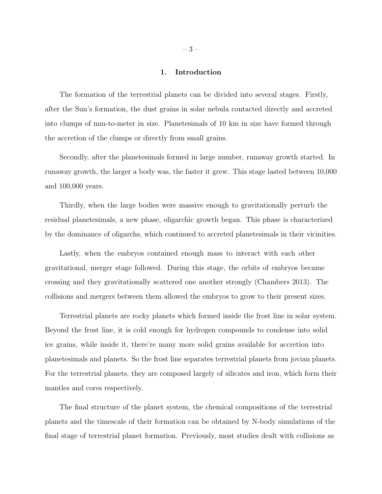#### 1. Introduction

The formation of the terrestrial planets can be divided into several stages. Firstly, after the Sun's formation, the dust grains in solar nebula contacted directly and accreted into clumps of mm-to-meter in size. Planetesimals of 10 km in size have formed through the accretion of the clumps or directly from small grains.

Secondly, after the planetesimals formed in large number, runaway growth started. In runaway growth, the larger a body was, the faster it grew. This stage lasted between 10,000 and 100,000 years.

Thirdly, when the large bodies were massive enough to gravitationally perturb the residual planetesimals, a new phase, oligarchic growth began. This phase is characterized by the dominance of oligarchs, which continued to accreted planetesimals in their vicinities.

Lastly, when the embryos contained enough mass to interact with each other gravitational, merger stage followed. During this stage, the orbits of embryos became crossing and they gravitationally scattered one another strongly (Chambers 2013). The collisions and mergers between them allowed the embryos to grow to their present sizes.

Terrestrial planets are rocky planets which formed inside the frost line in solar system. Beyond the frost line, it is cold enough for hydrogen compounds to condense into solid ice grains, while inside it, there're many more solid grains available for accretion into planetesimals and planets. So the frost line separates terrestrial planets from jovian planets. For the terrestrial planets, they are composed largely of silicates and iron, which form their mantles and cores respectively.

The final structure of the planet system, the chemical compositions of the terrestrial planets and the timescale of their formation can be obtained by N-body simulations of the final stage of terrestrial planet formation. Previously, most studies dealt with collisions as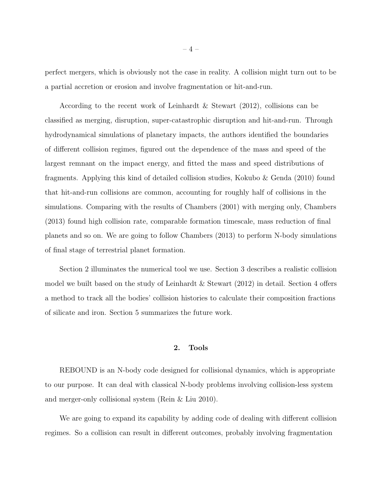perfect mergers, which is obviously not the case in reality. A collision might turn out to be a partial accretion or erosion and involve fragmentation or hit-and-run.

According to the recent work of Leinhardt & Stewart (2012), collisions can be classified as merging, disruption, super-catastrophic disruption and hit-and-run. Through hydrodynamical simulations of planetary impacts, the authors identified the boundaries of different collision regimes, figured out the dependence of the mass and speed of the largest remnant on the impact energy, and fitted the mass and speed distributions of fragments. Applying this kind of detailed collision studies, Kokubo & Genda (2010) found that hit-and-run collisions are common, accounting for roughly half of collisions in the simulations. Comparing with the results of Chambers (2001) with merging only, Chambers (2013) found high collision rate, comparable formation timescale, mass reduction of final planets and so on. We are going to follow Chambers (2013) to perform N-body simulations of final stage of terrestrial planet formation.

Section 2 illuminates the numerical tool we use. Section 3 describes a realistic collision model we built based on the study of Leinhardt & Stewart (2012) in detail. Section 4 offers a method to track all the bodies' collision histories to calculate their composition fractions of silicate and iron. Section 5 summarizes the future work.

## 2. Tools

REBOUND is an N-body code designed for collisional dynamics, which is appropriate to our purpose. It can deal with classical N-body problems involving collision-less system and merger-only collisional system (Rein & Liu 2010).

We are going to expand its capability by adding code of dealing with different collision regimes. So a collision can result in different outcomes, probably involving fragmentation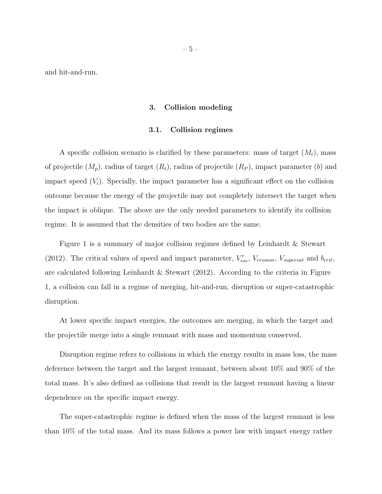and hit-and-run.

#### 3. Collision modeling

#### 3.1. Collision regimes

A specific collision scenario is clarified by these parameters: mass of target  $(M_t)$ , mass of projectile  $(M_p)$ , radius of target  $(R_t)$ , radius of projectile  $(R_p)$ , impact parameter (b) and impact speed  $(V_i)$ . Specially, the impact parameter has a significant effect on the collision outcome because the energy of the projectile may not completely intersect the target when the impact is oblique. The above are the only needed parameters to identify its collision regime. It is assumed that the densities of two bodies are the same.

Figure 1 is a summary of major collision regimes defined by Leinhardt & Stewart (2012). The critical values of speed and impact parameter,  $V'_{esc}$ ,  $V_{erosion}$ ,  $V_{supercat}$  and  $b_{crit}$ , are calculated following Leinhardt & Stewart  $(2012)$ . According to the criteria in Figure 1, a collision can fall in a regime of merging, hit-and-run, disruption or super-catastrophic disruption.

At lower specific impact energies, the outcomes are merging, in which the target and the projectile merge into a single remnant with mass and momentum conserved.

Disruption regime refers to collisions in which the energy results in mass loss, the mass deference between the target and the largest remnant, between about 10% and 90% of the total mass. It's also defined as collisions that result in the largest remnant having a linear dependence on the specific impact energy.

The super-catastrophic regime is defined when the mass of the largest remnant is less than 10% of the total mass. And its mass follows a power law with impact energy rather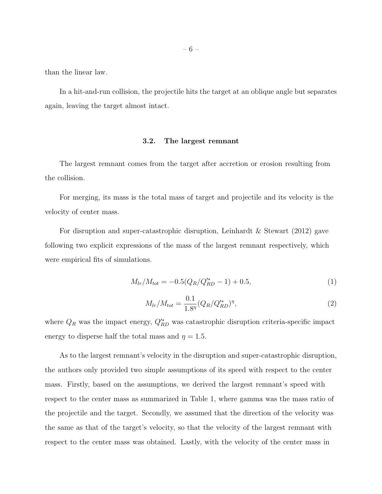than the linear law.

In a hit-and-run collision, the projectile hits the target at an oblique angle but separates again, leaving the target almost intact.

## 3.2. The largest remnant

The largest remnant comes from the target after accretion or erosion resulting from the collision.

For merging, its mass is the total mass of target and projectile and its velocity is the velocity of center mass.

For disruption and super-catastrophic disruption, Leinhardt & Stewart (2012) gave following two explicit expressions of the mass of the largest remnant respectively, which were empirical fits of simulations.

$$
M_{lr}/M_{tot} = -0.5(Q_R/Q_{RD}^{**} - 1) + 0.5,
$$
\n(1)

$$
M_{lr}/M_{tot} = \frac{0.1}{1.8^{\eta}} (Q_R/Q_{RD}^{\prime *})^{\eta},\tag{2}
$$

where  $Q_R$  was the impact energy,  $Q_{RD}^{\prime *}$  was catastrophic disruption criteria-specific impact energy to disperse half the total mass and  $\eta = 1.5$ .

As to the largest remnant's velocity in the disruption and super-catastrophic disruption, the authors only provided two simple assumptions of its speed with respect to the center mass. Firstly, based on the assumptions, we derived the largest remnant's speed with respect to the center mass as summarized in Table 1, where gamma was the mass ratio of the projectile and the target. Secondly, we assumed that the direction of the velocity was the same as that of the target's velocity, so that the velocity of the largest remnant with respect to the center mass was obtained. Lastly, with the velocity of the center mass in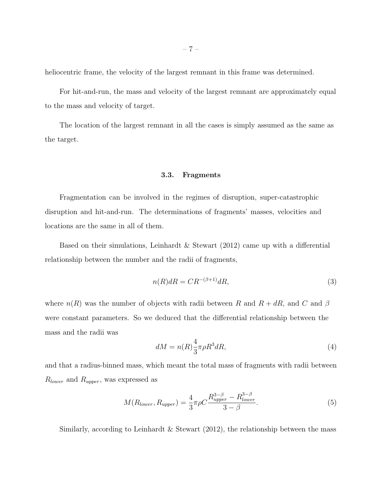heliocentric frame, the velocity of the largest remnant in this frame was determined.

For hit-and-run, the mass and velocity of the largest remnant are approximately equal to the mass and velocity of target.

The location of the largest remnant in all the cases is simply assumed as the same as the target.

## 3.3. Fragments

Fragmentation can be involved in the regimes of disruption, super-catastrophic disruption and hit-and-run. The determinations of fragments' masses, velocities and locations are the same in all of them.

Based on their simulations, Leinhardt & Stewart (2012) came up with a differential relationship between the number and the radii of fragments,

$$
n(R)dR = CR^{-(\beta+1)}dR,\tag{3}
$$

where  $n(R)$  was the number of objects with radii between R and  $R + dR$ , and C and  $\beta$ were constant parameters. So we deduced that the differential relationship between the mass and the radii was

$$
dM = n(R)\frac{4}{3}\pi\rho R^3 dR,\tag{4}
$$

and that a radius-binned mass, which meant the total mass of fragments with radii between  $R_{lower}$  and  $R_{upper}$ , was expressed as

$$
M(R_{lower}, R_{upper}) = \frac{4}{3}\pi\rho C \frac{R_{upper}^{3-\beta} - R_{lower}^{3-\beta}}{3-\beta}.
$$
\n
$$
(5)
$$

Similarly, according to Leinhardt & Stewart  $(2012)$ , the relationship between the mass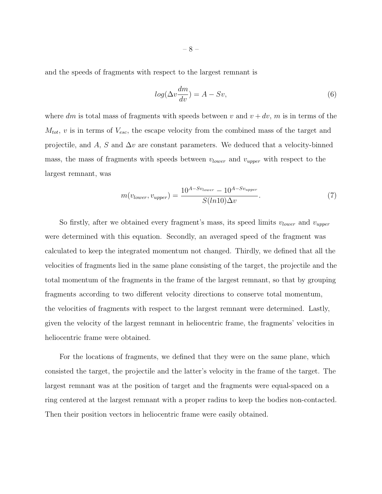and the speeds of fragments with respect to the largest remnant is

$$
log(\Delta v \frac{dm}{dv}) = A - Sv,\t\t(6)
$$

where dm is total mass of fragments with speeds between v and  $v + dv$ , m is in terms of the  $M_{tot}$ , v is in terms of  $V_{esc}$ , the escape velocity from the combined mass of the target and projectile, and A, S and  $\Delta v$  are constant parameters. We deduced that a velocity-binned mass, the mass of fragments with speeds between  $v_{lower}$  and  $v_{upper}$  with respect to the largest remnant, was

$$
m(v_{lower}, v_{upper}) = \frac{10^{A-Sv_{lower}} - 10^{A-Sv_{upper}}}{S(ln10)\Delta v}.
$$
\n
$$
(7)
$$

So firstly, after we obtained every fragment's mass, its speed limits  $v_{lower}$  and  $v_{upper}$ were determined with this equation. Secondly, an averaged speed of the fragment was calculated to keep the integrated momentum not changed. Thirdly, we defined that all the velocities of fragments lied in the same plane consisting of the target, the projectile and the total momentum of the fragments in the frame of the largest remnant, so that by grouping fragments according to two different velocity directions to conserve total momentum, the velocities of fragments with respect to the largest remnant were determined. Lastly, given the velocity of the largest remnant in heliocentric frame, the fragments' velocities in heliocentric frame were obtained.

For the locations of fragments, we defined that they were on the same plane, which consisted the target, the projectile and the latter's velocity in the frame of the target. The largest remnant was at the position of target and the fragments were equal-spaced on a ring centered at the largest remnant with a proper radius to keep the bodies non-contacted. Then their position vectors in heliocentric frame were easily obtained.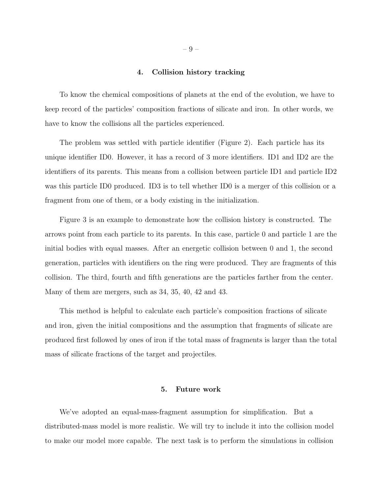#### 4. Collision history tracking

To know the chemical compositions of planets at the end of the evolution, we have to keep record of the particles' composition fractions of silicate and iron. In other words, we have to know the collisions all the particles experienced.

The problem was settled with particle identifier (Figure 2). Each particle has its unique identifier ID0. However, it has a record of 3 more identifiers. ID1 and ID2 are the identifiers of its parents. This means from a collision between particle ID1 and particle ID2 was this particle ID0 produced. ID3 is to tell whether ID0 is a merger of this collision or a fragment from one of them, or a body existing in the initialization.

Figure 3 is an example to demonstrate how the collision history is constructed. The arrows point from each particle to its parents. In this case, particle 0 and particle 1 are the initial bodies with equal masses. After an energetic collision between 0 and 1, the second generation, particles with identifiers on the ring were produced. They are fragments of this collision. The third, fourth and fifth generations are the particles farther from the center. Many of them are mergers, such as 34, 35, 40, 42 and 43.

This method is helpful to calculate each particle's composition fractions of silicate and iron, given the initial compositions and the assumption that fragments of silicate are produced first followed by ones of iron if the total mass of fragments is larger than the total mass of silicate fractions of the target and projectiles.

### 5. Future work

We've adopted an equal-mass-fragment assumption for simplification. But a distributed-mass model is more realistic. We will try to include it into the collision model to make our model more capable. The next task is to perform the simulations in collision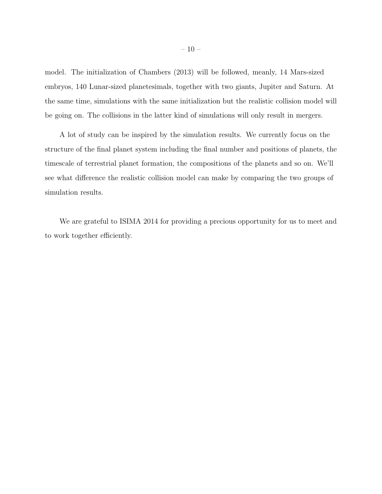model. The initialization of Chambers (2013) will be followed, meanly, 14 Mars-sized embryos, 140 Lunar-sized planetesimals, together with two giants, Jupiter and Saturn. At the same time, simulations with the same initialization but the realistic collision model will be going on. The collisions in the latter kind of simulations will only result in mergers.

A lot of study can be inspired by the simulation results. We currently focus on the structure of the final planet system including the final number and positions of planets, the timescale of terrestrial planet formation, the compositions of the planets and so on. We'll see what difference the realistic collision model can make by comparing the two groups of simulation results.

We are grateful to ISIMA 2014 for providing a precious opportunity for us to meet and to work together efficiently.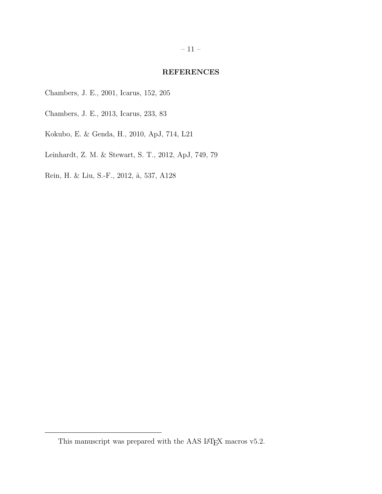## REFERENCES

- Chambers, J. E., 2001, Icarus, 152, 205
- Chambers, J. E., 2013, Icarus, 233, 83
- Kokubo, E. & Genda, H., 2010, ApJ, 714, L21
- Leinhardt, Z. M. & Stewart, S. T., 2012, ApJ, 749, 79
- Rein, H. & Liu, S.-F., 2012, å, 537, A128

This manuscript was prepared with the AAS I4T<sub>E</sub>X macros v5.2.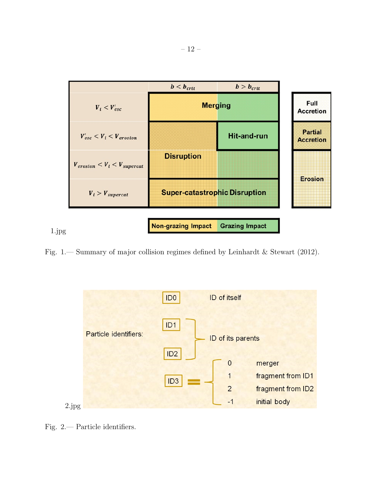

Fig. 1.— Summary of major collision regimes defined by Leinhardt & Stewart (2012).



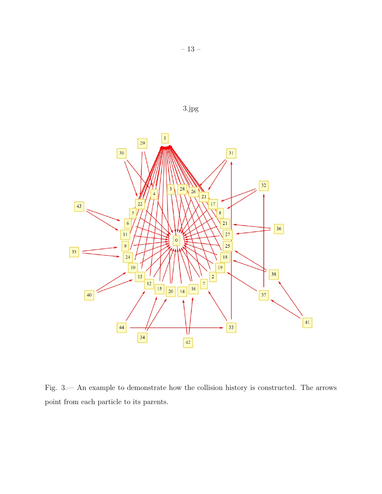

Fig. 3.— An example to demonstrate how the collision history is constructed. The arrows point from each particle to its parents.